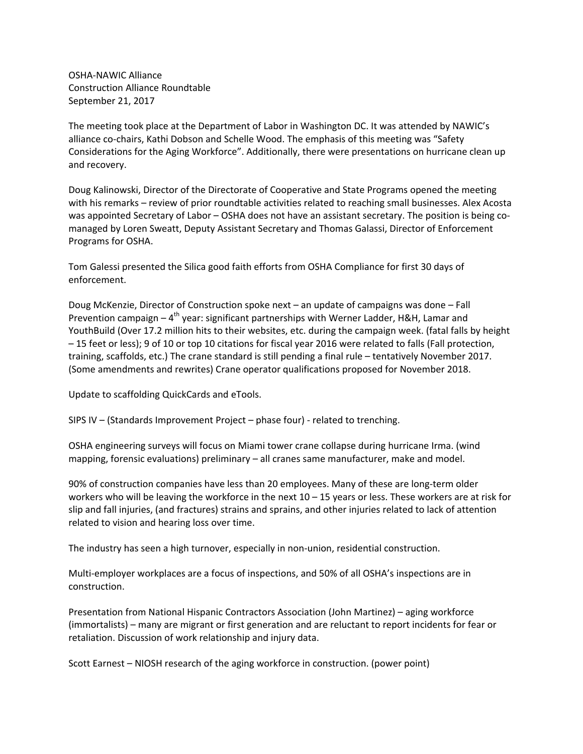OSHA‐NAWIC Alliance Construction Alliance Roundtable September 21, 2017

The meeting took place at the Department of Labor in Washington DC. It was attended by NAWIC's alliance co‐chairs, Kathi Dobson and Schelle Wood. The emphasis of this meeting was "Safety Considerations for the Aging Workforce". Additionally, there were presentations on hurricane clean up and recovery.

Doug Kalinowski, Director of the Directorate of Cooperative and State Programs opened the meeting with his remarks – review of prior roundtable activities related to reaching small businesses. Alex Acosta was appointed Secretary of Labor – OSHA does not have an assistant secretary. The position is being comanaged by Loren Sweatt, Deputy Assistant Secretary and Thomas Galassi, Director of Enforcement Programs for OSHA.

Tom Galessi presented the Silica good faith efforts from OSHA Compliance for first 30 days of enforcement.

Doug McKenzie, Director of Construction spoke next – an update of campaigns was done – Fall Prevention campaign  $-4^{th}$  year: significant partnerships with Werner Ladder, H&H, Lamar and YouthBuild (Over 17.2 million hits to their websites, etc. during the campaign week. (fatal falls by height – 15 feet or less); 9 of 10 or top 10 citations for fiscal year 2016 were related to falls (Fall protection, training, scaffolds, etc.) The crane standard is still pending a final rule – tentatively November 2017. (Some amendments and rewrites) Crane operator qualifications proposed for November 2018.

Update to scaffolding QuickCards and eTools.

SIPS IV – (Standards Improvement Project – phase four) ‐ related to trenching.

OSHA engineering surveys will focus on Miami tower crane collapse during hurricane Irma. (wind mapping, forensic evaluations) preliminary – all cranes same manufacturer, make and model.

90% of construction companies have less than 20 employees. Many of these are long‐term older workers who will be leaving the workforce in the next 10 – 15 years or less. These workers are at risk for slip and fall injuries, (and fractures) strains and sprains, and other injuries related to lack of attention related to vision and hearing loss over time.

The industry has seen a high turnover, especially in non‐union, residential construction.

Multi-employer workplaces are a focus of inspections, and 50% of all OSHA's inspections are in construction.

Presentation from National Hispanic Contractors Association (John Martinez) – aging workforce (immortalists) – many are migrant or first generation and are reluctant to report incidents for fear or retaliation. Discussion of work relationship and injury data.

Scott Earnest – NIOSH research of the aging workforce in construction. (power point)